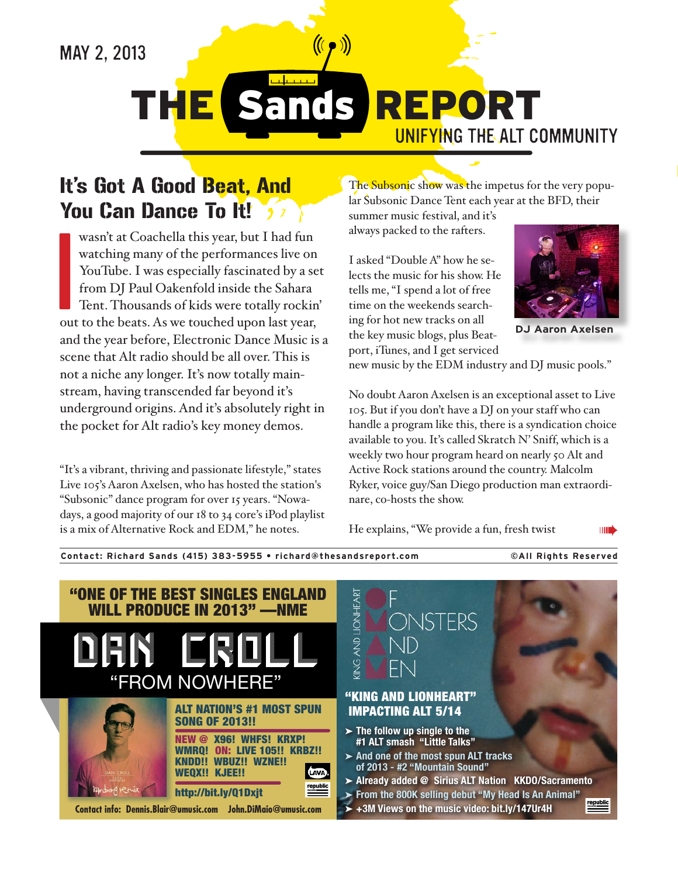# MAY 2, 2013

**THE Sands REPORT** 

UNIFYING THE ALT COMMUNITY

### It's Got A Good Beat, And **You Can Dance To It!**  $\frac{1}{2}$

wasn't at Coachella this year, but I had fun watching many of the performances live on YouTube. I was especially fascinated by a set from DJ Paul Oakenfold inside the Sahara Tent. Thousands of kids were totally rockin' out to the beats. As we touched upon last year, and the year before, Electronic Dance Music is a scene that Alt radio should be all over. This is not a niche any longer. It's now totally mainstream, having transcended far beyond it's underground origins. And it's absolutely right in the pocket for Alt radio's key money demos.

"It's a vibrant, thriving and passionate lifestyle," states Live 105's Aaron Axelsen, who has hosted the station's "Subsonic" dance program for over 15 years. "Nowadays, a good majority of our 18 to 34 core's iPod playlist is a mix of Alternative Rock and EDM," he notes.

Contact: Richard Sands (415) 383-5955 . richard@thesandsreport.com

The Subsonic show was the impetus for the very popular Subsonic Dance Tent each year at the BFD, their summer music festival, and it's

always packed to the rafters.

I asked "Double A" how he selects the music for his show. He tells me, "I spend a lot of free time on the weekends searching for hot new tracks on all the key music blogs, plus Beatport, iTunes, and I get serviced



**DJ Aaron Axelsen** 

**©All Rights Reserved** 

new music by the EDM industry and DJ music pools."

No doubt Aaron Axelsen is an exceptional asset to Live 105. But if you don't have a DJ on your staff who can handle a program like this, there is a syndication choice available to you. It's called Skratch N' Sniff, which is a weekly two hour program heard on nearly 50 Alt and Active Rock stations around the country. Malcolm Ryker, voice guy/San Diego production man extraordinare, co-hosts the show.

He explains, "We provide a fun, fresh twist

**THE** 

"ONE OF THE BEST SINGLES ENGLAND ING AND LIONHEART LL PRODUCE IN 2013" -NME ONSTERS "FROM NOWHERE" "KING AND LIONHEART" **ALT NATION'S #1 MOST SPUN IMPACTING ALT 5/14 SONG OF 2013!!**  $\blacktriangleright$  The follow up single to the **NEW @ X96! WHFS! KRXP!** #1 ALT smash "Little Talks" **WMRQ! ON: LIVE 105!! KRBZ!!**  $\triangleright$  And one of the most spun ALT tracks KNDD!! WBUZ!! WZNE!! of 2013 - #2 "Mountain Sound" WEOX!! KJEE!! LAVA > Already added @ Sirius ALT Nation KKDO/Sacramento http://bit.ly/Q1Dxjt From the 800K selling debut "My Head Is An Animal" +3M Views on the music video: bit.ly/147Ur4H Contact info: Dennis.Blair@umusic.com John.DiMaio@umusic.com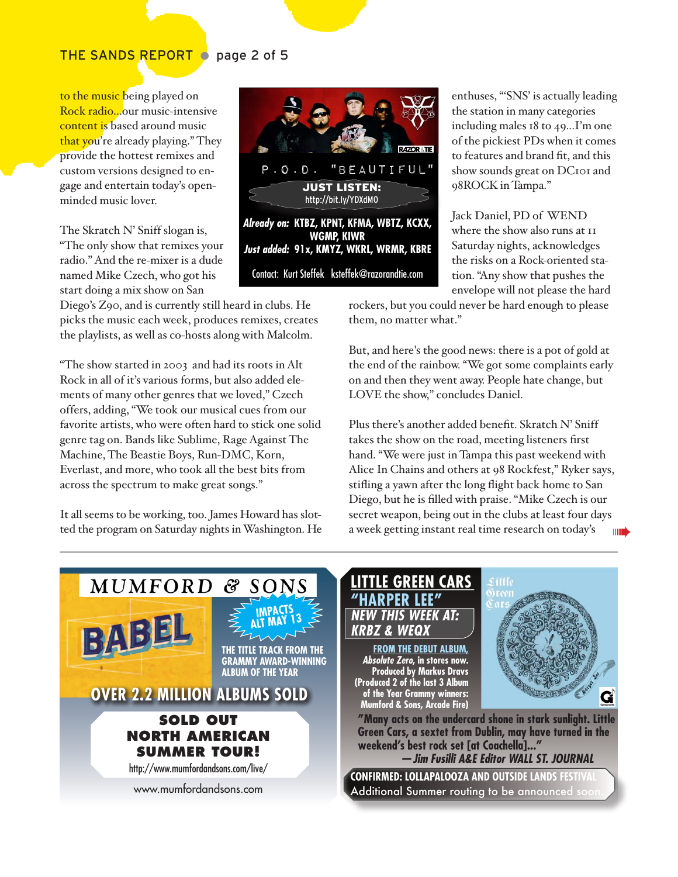### THE SANDS REPORT O page 2 of 5

to the music being played on Rock radio...our music-intensive content is based around music that you're already playing." They provide the hottest remixes and custom versions designed to engage and entertain today's openminded music lover.

The Skratch N' Sniff slogan is, "The only show that remixes your radio." And the re-mixer is a dude named Mike Czech, who got his start doing a mix show on San

Diego's Z90, and is currently still heard in clubs. He picks the music each week, produces remixes, creates the playlists, as well as co-hosts along with Malcolm.

"The show started in 2003 and had its roots in Alt Rock in all of it's various forms, but also added elements of many other genres that we loved," Czech offers, adding, "We took our musical cues from our favorite artists, who were often hard to stick one solid genre tag on. Bands like Sublime, Rage Against The Machine, The Beastie Boys, Run-DMC, Korn, Everlast, and more, who took all the best bits from across the spectrum to make great songs."

It all seems to be working, too. James Howard has slotted the program on Saturday nights in Washington. He



enthuses, "SNS' is actually leading the station in many categories including males 18 to 49...I'm one of the pickiest PDs when it comes to features and brand fit, and this show sounds great on DC101 and 98ROCK in Tampa."

Jack Daniel, PD of WEND where the show also runs at II Saturday nights, acknowledges the risks on a Rock-oriented station. "Any show that pushes the envelope will not please the hard

rockers, but you could never be hard enough to please them, no matter what."

But, and here's the good news: there is a pot of gold at the end of the rainbow. "We got some complaints early on and then they went away. People hate change, but LOVE the show," concludes Daniel.

Plus there's another added benefit. Skratch N' Sniff takes the show on the road, meeting listeners first hand. "We were just in Tampa this past weekend with Alice In Chains and others at 98 Rockfest," Ryker says, stifling a yawn after the long flight back home to San Diego, but he is filled with praise. "Mike Czech is our secret weapon, being out in the clubs at least four days a week getting instant real time research on today's



# **GREEN CARS NEW THIS WEEK AT:** & WEQ)

**FROM THE DEBUT ALBUM,** Absolute Zero, in stores now. **Produced by Markus Dravs**<br>(Produced 2 of the last 3 Album) of the Year Grammy winners:<br>Mumford & Sons, Arcade Fire)



"Many acts on the undercard shone in stark sunlight. Little Green Cars, a sextet from Dublin, may have turned in the weekend's best rock set [at Coachella]..." — Jim Fusilli A&E Editor WALL ST. JOURNAL

**CONFIRMED: LOLLAPALOOZA AND OUTSIDE LANDS FESTIVAL** Additional Summer routing to be announced soor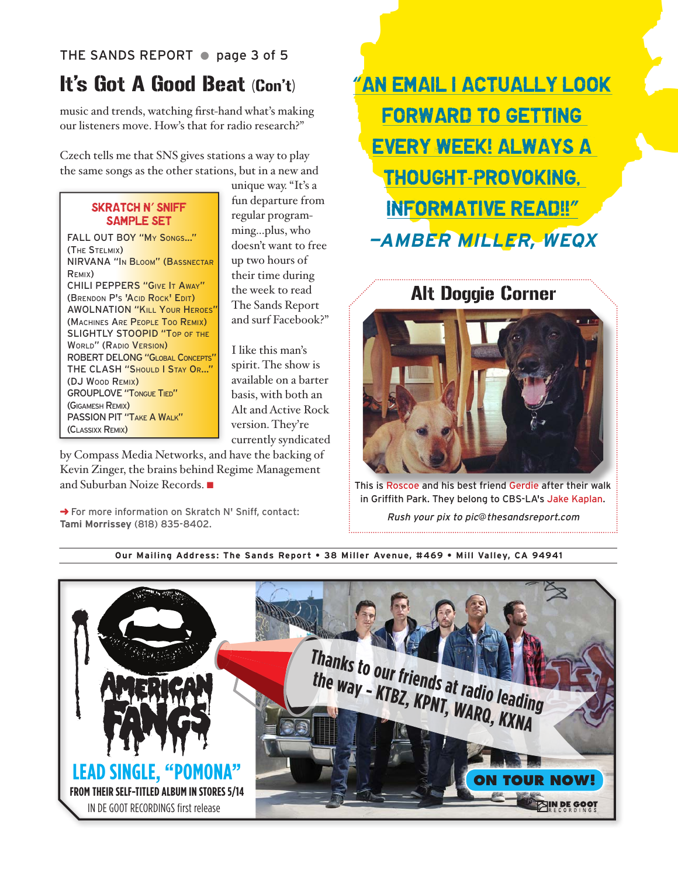### THE SANDS REPORT @ page 3 of 5

# It's Got A Good Beat (Con't)

music and trends, watching first-hand what's making our listeners move. How's that for radio research?"

Czech tells me that SNS gives stations a way to play the same songs as the other stations, but in a new and

### SKRATCH N' SNIFF SAMPLE SET

FALL OUT BOY "My SONGS..." (THE STELMIX) NIRVANA "IN BLOOM" (BASSNECTAR REMIX) CHILI PEPPERS "GIVE IT AWAY" (BRENDON P'S 'ACID ROCK' EDIT) **AWOLNATION "KILL YOUR HEROES"** (MACHINES ARE PEOPLE TOO REMIX) SLIGHTLY STOOPID "TOP OF THE WORLD" (RADIO VERSION) ROBERT DELONG "GLOBAL CONCEPTS" THE CLASH "SHOULD I STAY OR..." (DJ WOOD REMIX) **GROUPLOVE "TONGUE TIED"** (GIGAMESH REMIX) PASSION PIT "TAKE A WALK" (CLASSIXX REMIX)

unique way. "It's a fun departure from regular programming...plus, who doesn't want to free up two hours of their time during the week to read The Sands Report and surf Facebook?"

I like this man's spirit. The show is available on a barter basis, with both an Alt and Active Rock version. They're currently syndicated

by Compass Media Networks, and have the backing of Kevin Zinger, the brains behind Regime Management and Suburban Noize Records.

→ For more information on Skratch N' Sniff, contact: **Tami Morrissey** (818) 835-8402.

THE REAL PROPERTY NEWSTOP<br>
FORWARD TO GETTING<br>
EVERY WEEK! ALWAYS A<br>
THOUGHT-PROVOKING.<br>
INFORMATIVE READ!!"<br>
-AMBER MILLER, WEOX<br>
AIL Doggie Corner "AN EMAIL I ACTUALLY LOOK FORWARD TO GETTING EVERY WEEK! ALWAYS A THOUGHT-PROVOKING, INFORMATIVE READ!!" **—AMBER MILLER, WEQX**

## Alt Doggie Corner



This is Roscoe and his best friend Gerdie after their walk in Griffith Park. They belong to CBS-LA's Jake Kaplan.

Rush your pix to pic@thesandsreport.com

**Our Mailing Address: The Sands Report • 38 Miller Avenue, #469 • Mill Valley, CA 94941**

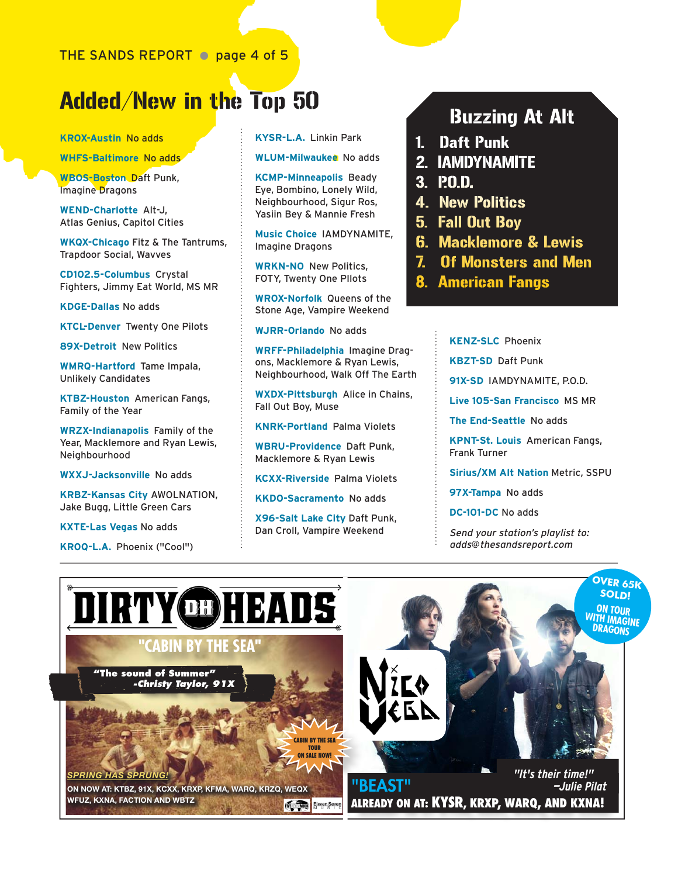# THE SANDS REPORT  $\bullet$  page 4 of 5<br>
Microsofter  $\bullet$  page 4 of 5<br>
Microsofter  $\bullet$  Microsofter **Properties**<br>
WES-Battimore No adds<br>
WES-Battimore No adds<br>
WES-Battimore No adds<br>
WES-Battimore No adds<br>
WES-Battimore No adds<br> Added/New in the Top 50

**KROX-Austin** No adds

**WHFS-Baltimore** No adds

**WBOS-Boston** Daft Punk, Imagine Dragons

**WEND-Charlotte** Alt-J, Atlas Genius, Capitol Cities

**WKQX-Chicago** Fitz & The Tantrums, Trapdoor Social, Wavves

**CD102.5-Columbus** Crystal Fighters, Jimmy Eat World, MS MR

**KDGE-Dallas** No adds

**KTCL-Denver** Twenty One Pilots

**89X-Detroit** New Politics

**WMRQ-Hartford** Tame Impala, Unlikely Candidates

**KTBZ-Houston** American Fangs, Family of the Year

**WRZX-Indianapolis** Family of the Year, Macklemore and Ryan Lewis, **Neighbourhood** 

**WXXJ-Jacksonville** No adds

**KRBZ-Kansas City** AWOLNATION, Jake Bugg, Little Green Cars

**KXTE-Las Vegas** No adds

**KROQ-L.A.** Phoenix ("Cool")

**KYSR-L.A.** Linkin Park

**WLUM-Milwaukee** No adds

**KCMP-Minneapolis** Beady Eye, Bombino, Lonely Wild, Neighbourhood, Sigur Ros, Yasiin Bey & Mannie Fresh

**Music Choice** IAMDYNAMITE, Imagine Dragons

**WRKN-NO** New Politics, FOTY, Twenty One PIlots

**WROX-Norfolk** Queens of the Stone Age, Vampire Weekend

**WJRR-Orlando** No adds

**WRFF-Philadelphia** Imagine Dragons, Macklemore & Ryan Lewis, Neighbourhood, Walk Off The Earth

**WXDX-Pittsburgh** Alice in Chains, Fall Out Boy, Muse

**KNRK-Portland** Palma Violets

**WBRU-Providence** Daft Punk, Macklemore & Ryan Lewis

**KCXX-Riverside** Palma Violets

**KKDO-Sacramento** No adds

**X96-Salt Lake City** Daft Punk, Dan Croll, Vampire Weekend

# Buzzing At Alt

- 1. Daft Punk
- 2. IAMDYNAMITE

3. PO.D.

- 4. New Politics
- 5. Fall Out Boy
- 6. Macklemore & Lewis
- 7. Of Monsters and Men
- 8. American Fangs

**KENZ-SLC** Phoenix

**KBZT-SD** Daft Punk

**91X-SD** IAMDYNAMITE, P.O.D.

**Live 105-San Francisco** MS MR

**The End-Seattle** No adds

**KPNT-St. Louis** American Fangs, Frank Turner

**Sirius/XM Alt Nation** Metric, SSPU

**97X-Tampa** No adds

**DC-101-DC** No adds

Send your station's playlist to: adds@thesandsreport.com